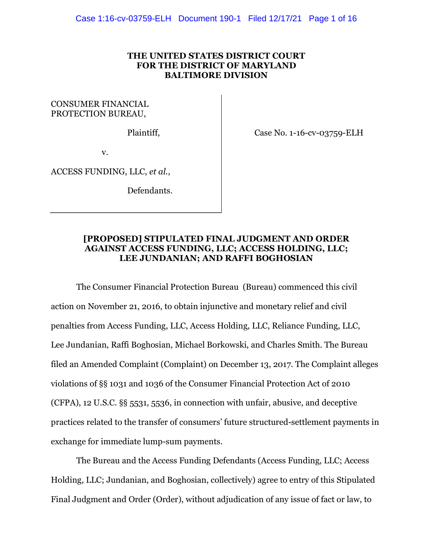# **THE UNITED STATES DISTRICT COURT FOR THE DISTRICT OF MARYLAND BALTIMORE DIVISION**

CONSUMER FINANCIAL PROTECTION BUREAU,

Plaintiff,

Case No. 1-16-cv-03759-ELH

v.

ACCESS FUNDING, LLC, *et al.*,

Defendants.

# **[PROPOSED] STIPULATED FINAL JUDGMENT AND ORDER AGAINST ACCESS FUNDING, LLC; ACCESS HOLDING, LLC; LEE JUNDANIAN; AND RAFFI BOGHOSIAN**

The Consumer Financial Protection Bureau (Bureau) commenced this civil action on November 21, 2016, to obtain injunctive and monetary relief and civil penalties from Access Funding, LLC, Access Holding, LLC, Reliance Funding, LLC, Lee Jundanian, Raffi Boghosian, Michael Borkowski, and Charles Smith. The Bureau filed an Amended Complaint (Complaint) on December 13, 2017. The Complaint alleges violations of §§ 1031 and 1036 of the Consumer Financial Protection Act of 2010 (CFPA), 12 U.S.C. §§ 5531, 5536, in connection with unfair, abusive, and deceptive practices related to the transfer of consumers' future structured-settlement payments in exchange for immediate lump-sum payments.

The Bureau and the Access Funding Defendants (Access Funding, LLC; Access Holding, LLC; Jundanian, and Boghosian, collectively) agree to entry of this Stipulated Final Judgment and Order (Order), without adjudication of any issue of fact or law, to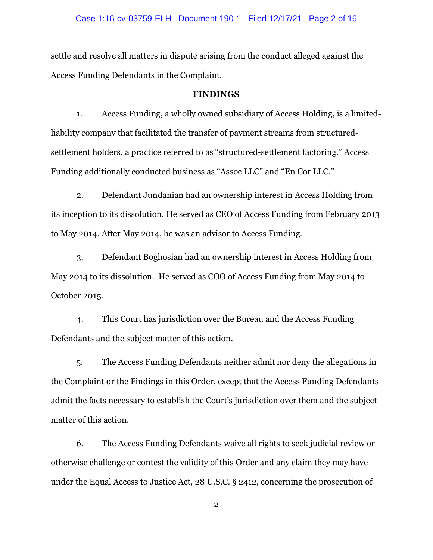### Case 1:16-cv-03759-ELH Document 190-1 Filed 12/17/21 Page 2 of 16

settle and resolve all matters in dispute arising from the conduct alleged against the Access Funding Defendants in the Complaint.

#### **FINDINGS**

1. Access Funding, a wholly owned subsidiary of Access Holding, is a limitedliability company that facilitated the transfer of payment streams from structuredsettlement holders, a practice referred to as "structured-settlement factoring." Access Funding additionally conducted business as "Assoc LLC" and "En Cor LLC."

2. Defendant Jundanian had an ownership interest in Access Holding from its inception to its dissolution. He served as CEO of Access Funding from February 2013 to May 2014. After May 2014, he was an advisor to Access Funding.

3. Defendant Boghosian had an ownership interest in Access Holding from May 2014 to its dissolution. He served as COO of Access Funding from May 2014 to October 2015.

4. This Court has jurisdiction over the Bureau and the Access Funding Defendants and the subject matter of this action.

5. The Access Funding Defendants neither admit nor deny the allegations in the Complaint or the Findings in this Order, except that the Access Funding Defendants admit the facts necessary to establish the Court's jurisdiction over them and the subject matter of this action.

6. The Access Funding Defendants waive all rights to seek judicial review or otherwise challenge or contest the validity of this Order and any claim they may have under the Equal Access to Justice Act, 28 U.S.C. § 2412, concerning the prosecution of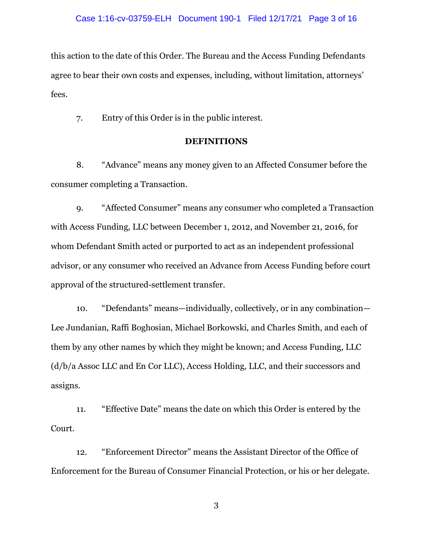this action to the date of this Order. The Bureau and the Access Funding Defendants agree to bear their own costs and expenses, including, without limitation, attorneys' fees.

7. Entry of this Order is in the public interest.

# **DEFINITIONS**

8. "Advance" means any money given to an Affected Consumer before the consumer completing a Transaction.

9. "Affected Consumer" means any consumer who completed a Transaction with Access Funding, LLC between December 1, 2012, and November 21, 2016, for whom Defendant Smith acted or purported to act as an independent professional advisor, or any consumer who received an Advance from Access Funding before court approval of the structured-settlement transfer.

10. "Defendants" means—individually, collectively, or in any combination— Lee Jundanian, Raffi Boghosian, Michael Borkowski, and Charles Smith, and each of them by any other names by which they might be known; and Access Funding, LLC (d/b/a Assoc LLC and En Cor LLC), Access Holding, LLC, and their successors and assigns.

11. "Effective Date" means the date on which this Order is entered by the Court.

12. "Enforcement Director" means the Assistant Director of the Office of Enforcement for the Bureau of Consumer Financial Protection, or his or her delegate.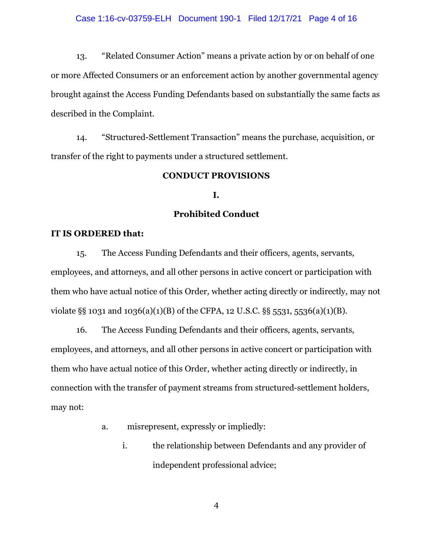13. "Related Consumer Action" means a private action by or on behalf of one or more Affected Consumers or an enforcement action by another governmental agency brought against the Access Funding Defendants based on substantially the same facts as described in the Complaint.

14. "Structured-Settlement Transaction" means the purchase, acquisition, or transfer of the right to payments under a structured settlement.

# **CONDUCT PROVISIONS**

# **I.**

# **Prohibited Conduct**

## **IT IS ORDERED that:**

15. The Access Funding Defendants and their officers, agents, servants, employees, and attorneys, and all other persons in active concert or participation with them who have actual notice of this Order*,* whether acting directly or indirectly, may not violate §§ 1031 and 1036(a)(1)(B) of the CFPA, 12 U.S.C. §§ 5531, 5536(a)(1)(B).

16. The Access Funding Defendants and their officers, agents, servants, employees, and attorneys, and all other persons in active concert or participation with them who have actual notice of this Order, whether acting directly or indirectly, in connection with the transfer of payment streams from structured-settlement holders, may not:

- a. misrepresent, expressly or impliedly:
	- i. the relationship between Defendants and any provider of independent professional advice;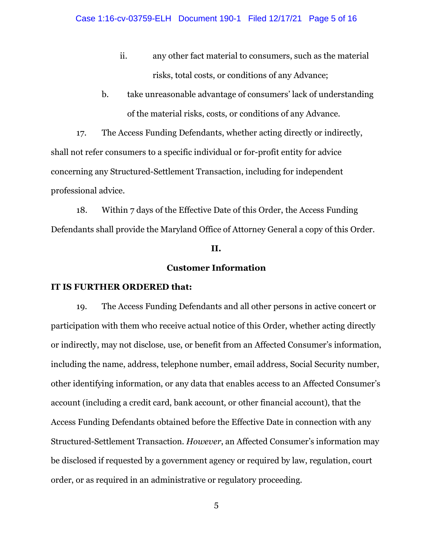- ii. any other fact material to consumers, such as the material risks, total costs, or conditions of any Advance;
- b. take unreasonable advantage of consumers' lack of understanding of the material risks, costs, or conditions of any Advance.

17. The Access Funding Defendants, whether acting directly or indirectly, shall not refer consumers to a specific individual or for-profit entity for advice concerning any Structured-Settlement Transaction, including for independent professional advice.

18. Within 7 days of the Effective Date of this Order, the Access Funding Defendants shall provide the Maryland Office of Attorney General a copy of this Order.

### **II.**

# **Customer Information**

#### **IT IS FURTHER ORDERED that:**

19. The Access Funding Defendants and all other persons in active concert or participation with them who receive actual notice of this Order, whether acting directly or indirectly, may not disclose, use, or benefit from an Affected Consumer's information, including the name, address, telephone number, email address, Social Security number, other identifying information, or any data that enables access to an Affected Consumer's account (including a credit card, bank account, or other financial account), that the Access Funding Defendants obtained before the Effective Date in connection with any Structured-Settlement Transaction. *However*, an Affected Consumer's information may be disclosed if requested by a government agency or required by law, regulation, court order, or as required in an administrative or regulatory proceeding.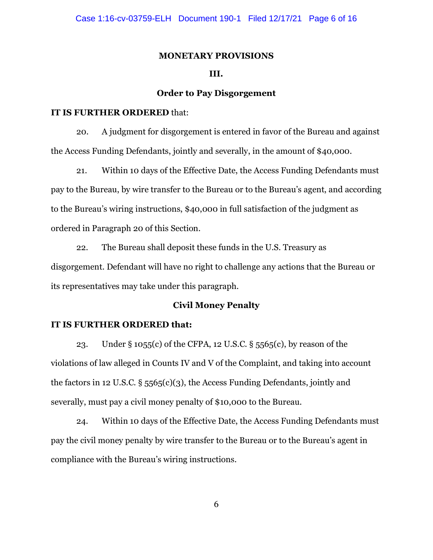#### **MONETARY PROVISIONS**

## **III.**

# **Order to Pay Disgorgement**

### **IT IS FURTHER ORDERED** that:

20. A judgment for disgorgement is entered in favor of the Bureau and against the Access Funding Defendants, jointly and severally, in the amount of \$40,000.

21. Within 10 days of the Effective Date, the Access Funding Defendants must pay to the Bureau, by wire transfer to the Bureau or to the Bureau's agent, and according to the Bureau's wiring instructions, \$40,000 in full satisfaction of the judgment as ordered in Paragraph 20 of this Section.

22. The Bureau shall deposit these funds in the U.S. Treasury as disgorgement. Defendant will have no right to challenge any actions that the Bureau or its representatives may take under this paragraph.

# **Civil Money Penalty**

### **IT IS FURTHER ORDERED that:**

23. Under § 1055(c) of the CFPA, 12 U.S.C. § 5565(c), by reason of the violations of law alleged in Counts IV and V of the Complaint, and taking into account the factors in 12 U.S.C. § 5565(c)(3), the Access Funding Defendants, jointly and severally, must pay a civil money penalty of \$10,000 to the Bureau.

24. Within 10 days of the Effective Date, the Access Funding Defendants must pay the civil money penalty by wire transfer to the Bureau or to the Bureau's agent in compliance with the Bureau's wiring instructions.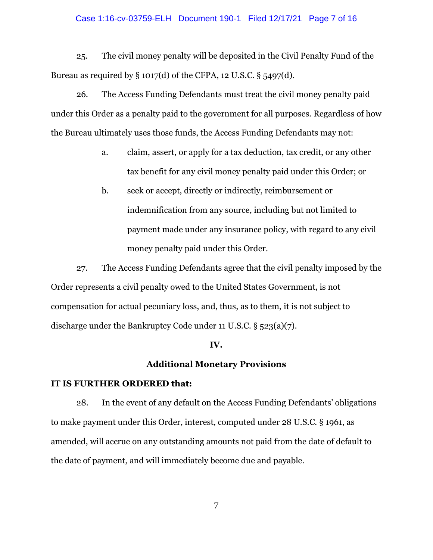### Case 1:16-cv-03759-ELH Document 190-1 Filed 12/17/21 Page 7 of 16

25. The civil money penalty will be deposited in the Civil Penalty Fund of the Bureau as required by  $\S 1017(d)$  of the CFPA, 12 U.S.C.  $\S 5497(d)$ .

26. The Access Funding Defendants must treat the civil money penalty paid under this Order as a penalty paid to the government for all purposes. Regardless of how the Bureau ultimately uses those funds, the Access Funding Defendants may not:

- a. claim, assert, or apply for a tax deduction, tax credit, or any other tax benefit for any civil money penalty paid under this Order; or
- b. seek or accept, directly or indirectly, reimbursement or indemnification from any source, including but not limited to payment made under any insurance policy, with regard to any civil money penalty paid under this Order.

27. The Access Funding Defendants agree that the civil penalty imposed by the Order represents a civil penalty owed to the United States Government, is not compensation for actual pecuniary loss, and, thus, as to them, it is not subject to discharge under the Bankruptcy Code under 11 U.S.C. § 523(a)(7).

#### **IV.**

## **Additional Monetary Provisions**

# **IT IS FURTHER ORDERED that:**

28. In the event of any default on the Access Funding Defendants' obligations to make payment under this Order, interest, computed under 28 U.S.C. § 1961, as amended, will accrue on any outstanding amounts not paid from the date of default to the date of payment, and will immediately become due and payable.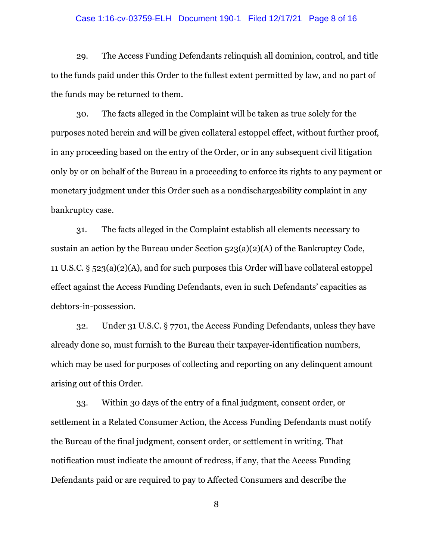### Case 1:16-cv-03759-ELH Document 190-1 Filed 12/17/21 Page 8 of 16

29. The Access Funding Defendants relinquish all dominion, control, and title to the funds paid under this Order to the fullest extent permitted by law, and no part of the funds may be returned to them.

30. The facts alleged in the Complaint will be taken as true solely for the purposes noted herein and will be given collateral estoppel effect, without further proof, in any proceeding based on the entry of the Order, or in any subsequent civil litigation only by or on behalf of the Bureau in a proceeding to enforce its rights to any payment or monetary judgment under this Order such as a nondischargeability complaint in any bankruptcy case.

31. The facts alleged in the Complaint establish all elements necessary to sustain an action by the Bureau under Section 523(a)(2)(A) of the Bankruptcy Code, 11 U.S.C. § 523(a)(2)(A), and for such purposes this Order will have collateral estoppel effect against the Access Funding Defendants, even in such Defendants' capacities as debtors-in-possession.

32. Under 31 U.S.C. § 7701, the Access Funding Defendants, unless they have already done so, must furnish to the Bureau their taxpayer-identification numbers, which may be used for purposes of collecting and reporting on any delinquent amount arising out of this Order.

33. Within 30 days of the entry of a final judgment, consent order, or settlement in a Related Consumer Action, the Access Funding Defendants must notify the Bureau of the final judgment, consent order, or settlement in writing. That notification must indicate the amount of redress, if any, that the Access Funding Defendants paid or are required to pay to Affected Consumers and describe the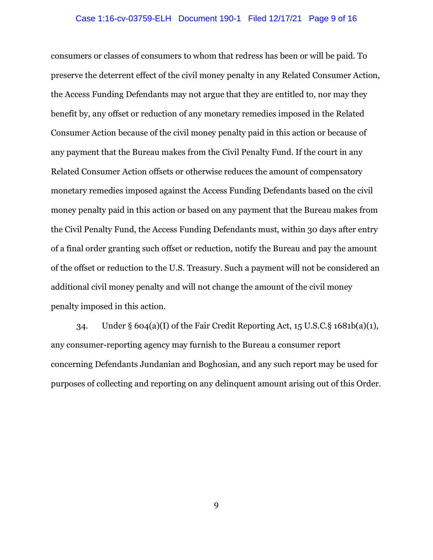### Case 1:16-cv-03759-ELH Document 190-1 Filed 12/17/21 Page 9 of 16

consumers or classes of consumers to whom that redress has been or will be paid. To preserve the deterrent effect of the civil money penalty in any Related Consumer Action, the Access Funding Defendants may not argue that they are entitled to, nor may they benefit by, any offset or reduction of any monetary remedies imposed in the Related Consumer Action because of the civil money penalty paid in this action or because of any payment that the Bureau makes from the Civil Penalty Fund. If the court in any Related Consumer Action offsets or otherwise reduces the amount of compensatory monetary remedies imposed against the Access Funding Defendants based on the civil money penalty paid in this action or based on any payment that the Bureau makes from the Civil Penalty Fund, the Access Funding Defendants must, within 30 days after entry of a final order granting such offset or reduction, notify the Bureau and pay the amount of the offset or reduction to the U.S. Treasury. Such a payment will not be considered an additional civil money penalty and will not change the amount of the civil money penalty imposed in this action.

34. Under § 604(a)(I) of the Fair Credit Reporting Act, 15 U.S.C.§ 1681b(a)(1), any consumer-reporting agency may furnish to the Bureau a consumer report concerning Defendants Jundanian and Boghosian, and any such report may be used for purposes of collecting and reporting on any delinquent amount arising out of this Order.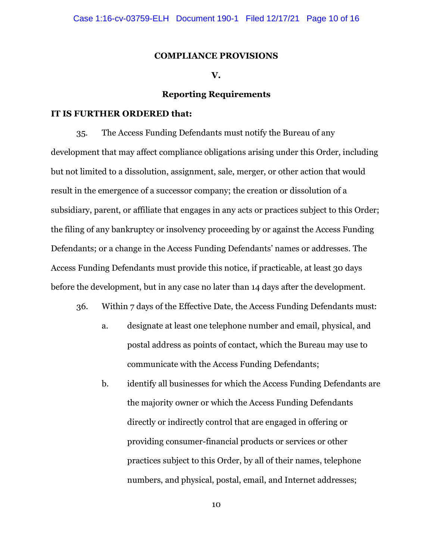#### **COMPLIANCE PROVISIONS**

## **V.**

## **Reporting Requirements**

#### **IT IS FURTHER ORDERED that:**

35. The Access Funding Defendants must notify the Bureau of any development that may affect compliance obligations arising under this Order, including but not limited to a dissolution, assignment, sale, merger, or other action that would result in the emergence of a successor company; the creation or dissolution of a subsidiary, parent, or affiliate that engages in any acts or practices subject to this Order; the filing of any bankruptcy or insolvency proceeding by or against the Access Funding Defendants; or a change in the Access Funding Defendants' names or addresses. The Access Funding Defendants must provide this notice, if practicable, at least 30 days before the development, but in any case no later than 14 days after the development.

- 36. Within 7 days of the Effective Date, the Access Funding Defendants must:
	- a. designate at least one telephone number and email, physical, and postal address as points of contact, which the Bureau may use to communicate with the Access Funding Defendants;
	- b. identify all businesses for which the Access Funding Defendants are the majority owner or which the Access Funding Defendants directly or indirectly control that are engaged in offering or providing consumer-financial products or services or other practices subject to this Order, by all of their names, telephone numbers, and physical, postal, email, and Internet addresses;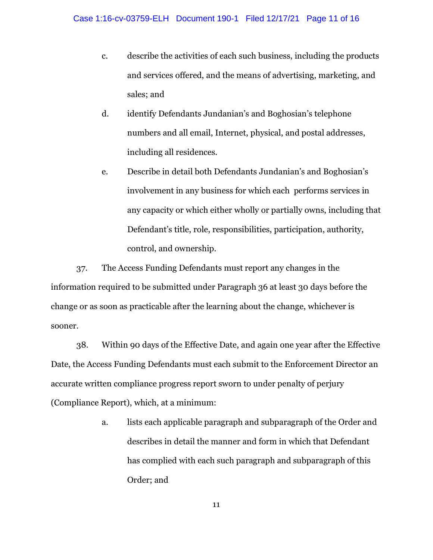- c. describe the activities of each such business, including the products and services offered, and the means of advertising, marketing, and sales; and
- d. identify Defendants Jundanian's and Boghosian's telephone numbers and all email, Internet, physical, and postal addresses, including all residences.
- e. Describe in detail both Defendants Jundanian's and Boghosian's involvement in any business for which each performs services in any capacity or which either wholly or partially owns, including that Defendant's title, role, responsibilities, participation, authority, control, and ownership.

37. The Access Funding Defendants must report any changes in the information required to be submitted under Paragraph 36 at least 30 days before the change or as soon as practicable after the learning about the change, whichever is sooner.

38. Within 90 days of the Effective Date, and again one year after the Effective Date, the Access Funding Defendants must each submit to the Enforcement Director an accurate written compliance progress report sworn to under penalty of perjury (Compliance Report), which, at a minimum:

> a. lists each applicable paragraph and subparagraph of the Order and describes in detail the manner and form in which that Defendant has complied with each such paragraph and subparagraph of this Order; and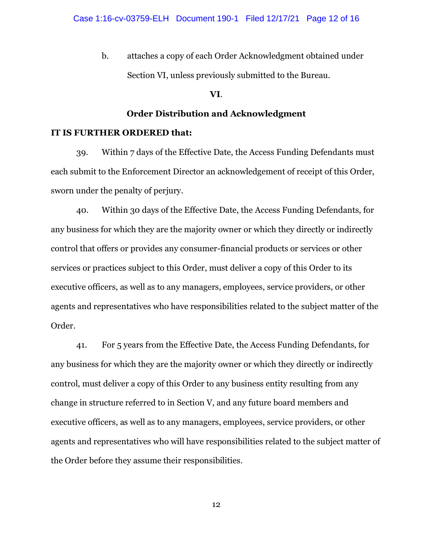b. attaches a copy of each Order Acknowledgment obtained under Section VI, unless previously submitted to the Bureau.

## **VI**.

# **Order Distribution and Acknowledgment**

## **IT IS FURTHER ORDERED that:**

39. Within 7 days of the Effective Date, the Access Funding Defendants must each submit to the Enforcement Director an acknowledgement of receipt of this Order, sworn under the penalty of perjury.

40. Within 30 days of the Effective Date, the Access Funding Defendants, for any business for which they are the majority owner or which they directly or indirectly control that offers or provides any consumer-financial products or services or other services or practices subject to this Order, must deliver a copy of this Order to its executive officers, as well as to any managers, employees, service providers, or other agents and representatives who have responsibilities related to the subject matter of the Order.

41. For 5 years from the Effective Date, the Access Funding Defendants, for any business for which they are the majority owner or which they directly or indirectly control, must deliver a copy of this Order to any business entity resulting from any change in structure referred to in Section V, and any future board members and executive officers, as well as to any managers, employees, service providers, or other agents and representatives who will have responsibilities related to the subject matter of the Order before they assume their responsibilities.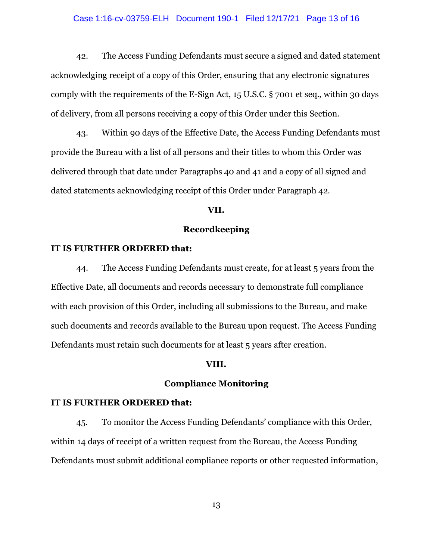### Case 1:16-cv-03759-ELH Document 190-1 Filed 12/17/21 Page 13 of 16

42. The Access Funding Defendants must secure a signed and dated statement acknowledging receipt of a copy of this Order, ensuring that any electronic signatures comply with the requirements of the E-Sign Act, 15 U.S.C. § 7001 et seq., within 30 days of delivery, from all persons receiving a copy of this Order under this Section.

43. Within 90 days of the Effective Date, the Access Funding Defendants must provide the Bureau with a list of all persons and their titles to whom this Order was delivered through that date under Paragraphs 40 and 41 and a copy of all signed and dated statements acknowledging receipt of this Order under Paragraph 42.

### **VII.**

# **Recordkeeping**

## **IT IS FURTHER ORDERED that:**

44. The Access Funding Defendants must create, for at least 5 years from the Effective Date, all documents and records necessary to demonstrate full compliance with each provision of this Order, including all submissions to the Bureau, and make such documents and records available to the Bureau upon request. The Access Funding Defendants must retain such documents for at least 5 years after creation.

### **VIII.**

## **Compliance Monitoring**

### **IT IS FURTHER ORDERED that:**

45. To monitor the Access Funding Defendants' compliance with this Order, within 14 days of receipt of a written request from the Bureau, the Access Funding Defendants must submit additional compliance reports or other requested information,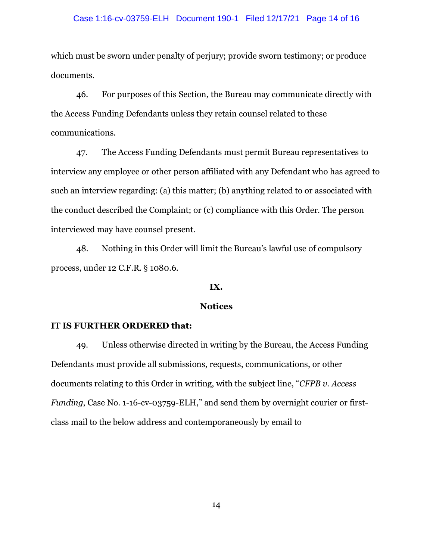### Case 1:16-cv-03759-ELH Document 190-1 Filed 12/17/21 Page 14 of 16

which must be sworn under penalty of perjury; provide sworn testimony; or produce documents.

46. For purposes of this Section, the Bureau may communicate directly with the Access Funding Defendants unless they retain counsel related to these communications.

47. The Access Funding Defendants must permit Bureau representatives to interview any employee or other person affiliated with any Defendant who has agreed to such an interview regarding: (a) this matter; (b) anything related to or associated with the conduct described the Complaint; or (c) compliance with this Order. The person interviewed may have counsel present.

48. Nothing in this Order will limit the Bureau's lawful use of compulsory process, under 12 C.F.R. § 1080.6.

### **IX.**

## **Notices**

### **IT IS FURTHER ORDERED that:**

49. Unless otherwise directed in writing by the Bureau, the Access Funding Defendants must provide all submissions, requests, communications, or other documents relating to this Order in writing, with the subject line, "*CFPB v. Access Funding*, Case No. 1-16-cv-03759-ELH," and send them by overnight courier or firstclass mail to the below address and contemporaneously by email to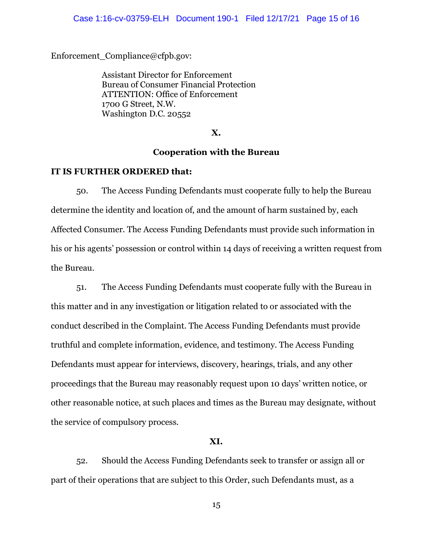#### Case 1:16-cv-03759-ELH Document 190-1 Filed 12/17/21 Page 15 of 16

Enforcement\_Compliance@cfpb.gov:

Assistant Director for Enforcement Bureau of Consumer Financial Protection ATTENTION: Office of Enforcement 1700 G Street, N.W. Washington D.C. 20552

**X.**

# **Cooperation with the Bureau**

### **IT IS FURTHER ORDERED that:**

50. The Access Funding Defendants must cooperate fully to help the Bureau determine the identity and location of, and the amount of harm sustained by, each Affected Consumer. The Access Funding Defendants must provide such information in his or his agents' possession or control within 14 days of receiving a written request from the Bureau.

51. The Access Funding Defendants must cooperate fully with the Bureau in this matter and in any investigation or litigation related to or associated with the conduct described in the Complaint. The Access Funding Defendants must provide truthful and complete information, evidence, and testimony. The Access Funding Defendants must appear for interviews, discovery, hearings, trials, and any other proceedings that the Bureau may reasonably request upon 10 days' written notice, or other reasonable notice, at such places and times as the Bureau may designate, without the service of compulsory process.

#### **XI.**

52. Should the Access Funding Defendants seek to transfer or assign all or part of their operations that are subject to this Order, such Defendants must, as a